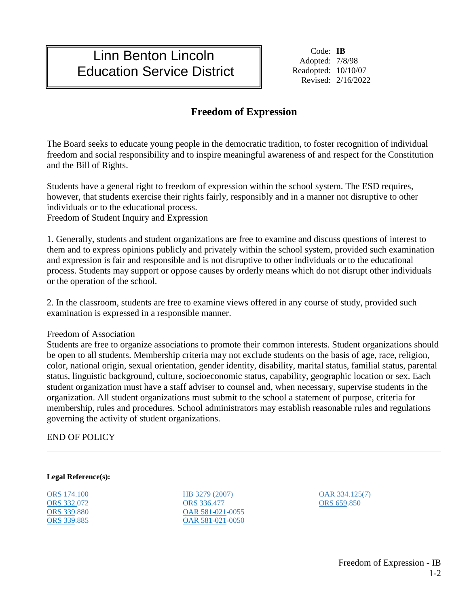## Linn Benton Lincoln Education Service District

Code: **IB** Adopted: 7/8/98 Readopted: 10/10/07 Revised: 2/16/2022

## **Freedom of Expression**

The Board seeks to educate young people in the democratic tradition, to foster recognition of individual freedom and social responsibility and to inspire meaningful awareness of and respect for the Constitution and the Bill of Rights.

Students have a general right to freedom of expression within the school system. The ESD requires, however, that students exercise their rights fairly, responsibly and in a manner not disruptive to other individuals or to the educational process.

Freedom of Student Inquiry and Expression

1. Generally, students and student organizations are free to examine and discuss questions of interest to them and to express opinions publicly and privately within the school system, provided such examination and expression is fair and responsible and is not disruptive to other individuals or to the educational process. Students may support or oppose causes by orderly means which do not disrupt other individuals or the operation of the school.

2. In the classroom, students are free to examine views offered in any course of study, provided such examination is expressed in a responsible manner.

Freedom of Association

Students are free to organize associations to promote their common interests. Student organizations should be open to all students. Membership criteria may not exclude students on the basis of age, race, religion, color, national origin, sexual orientation, gender identity, disability, marital status, familial status, parental status, linguistic background, culture, socioeconomic status, capability, geographic location or sex. Each student organization must have a staff adviser to counsel and, when necessary, supervise students in the organization. All student organizations must submit to the school a statement of purpose, criteria for membership, rules and procedures. School administrators may establish reasonable rules and regulations governing the activity of student organizations.

## END OF POLICY

## **Legal Reference(s):**

ORS 174.100 [ORS 332.0](https://www.oregonlegislature.gov/bills_laws/ors/ors332.html)72 [ORS 339.](https://www.oregonlegislature.gov/bills_laws/ors/ors339.html)880 [ORS 339.](https://www.oregonlegislature.gov/bills_laws/ors/ors339.html)885 HB 3279 (2007) ORS 336.477 [OAR 581-021-](http://arcweb.sos.state.or.us/rules/OARS_500/OAR_581/581_021.html)0055 [OAR 581-021-](http://arcweb.sos.state.or.us/rules/OARS_500/OAR_581/581_021.html)0050

OAR 334.125(7) ORS 659.850